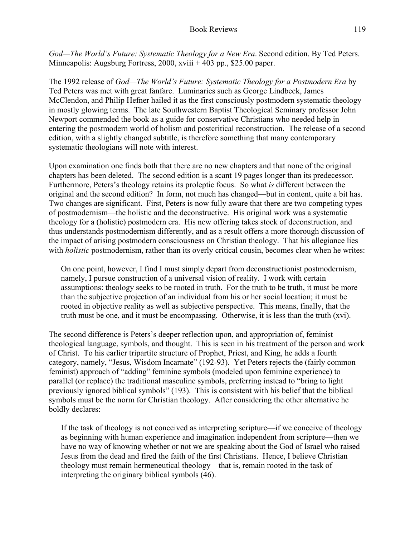*God—The World's Future: Systematic Theology for a New Era*. Second edition. By Ted Peters. Minneapolis: Augsburg Fortress, 2000, xviii + 403 pp., \$25.00 paper.

The 1992 release of *God—The World's Future: Systematic Theology for a Postmodern Era* by Ted Peters was met with great fanfare. Luminaries such as George Lindbeck, James McClendon, and Philip Hefner hailed it as the first consciously postmodern systematic theology in mostly glowing terms. The late Southwestern Baptist Theological Seminary professor John Newport commended the book as a guide for conservative Christians who needed help in entering the postmodern world of holism and postcritical reconstruction. The release of a second edition, with a slightly changed subtitle, is therefore something that many contemporary systematic theologians will note with interest.

Upon examination one finds both that there are no new chapters and that none of the original chapters has been deleted. The second edition is a scant 19 pages longer than its predecessor. Furthermore, Peters's theology retains its proleptic focus. So what *is* different between the original and the second edition? In form, not much has changed—but in content, quite a bit has. Two changes are significant. First, Peters is now fully aware that there are two competing types of postmodernism—the holistic and the deconstructive. His original work was a systematic theology for a (holistic) postmodern era. His new offering takes stock of deconstruction, and thus understands postmodernism differently, and as a result offers a more thorough discussion of the impact of arising postmodern consciousness on Christian theology. That his allegiance lies with *holistic* postmodernism, rather than its overly critical cousin, becomes clear when he writes:

On one point, however, I find I must simply depart from deconstructionist postmodernism, namely, I pursue construction of a universal vision of reality. I work with certain assumptions: theology seeks to be rooted in truth. For the truth to be truth, it must be more than the subjective projection of an individual from his or her social location; it must be rooted in objective reality as well as subjective perspective. This means, finally, that the truth must be one, and it must be encompassing. Otherwise, it is less than the truth (xvi).

The second difference is Peters's deeper reflection upon, and appropriation of, feminist theological language, symbols, and thought. This is seen in his treatment of the person and work of Christ. To his earlier tripartite structure of Prophet, Priest, and King, he adds a fourth category, namely, "Jesus, Wisdom Incarnate" (192-93). Yet Peters rejects the (fairly common feminist) approach of "adding" feminine symbols (modeled upon feminine experience) to parallel (or replace) the traditional masculine symbols, preferring instead to "bring to light previously ignored biblical symbols" (193). This is consistent with his belief that the biblical symbols must be the norm for Christian theology. After considering the other alternative he boldly declares:

If the task of theology is not conceived as interpreting scripture—if we conceive of theology as beginning with human experience and imagination independent from scripture—then we have no way of knowing whether or not we are speaking about the God of Israel who raised Jesus from the dead and fired the faith of the first Christians. Hence, I believe Christian theology must remain hermeneutical theology—that is, remain rooted in the task of interpreting the originary biblical symbols (46).